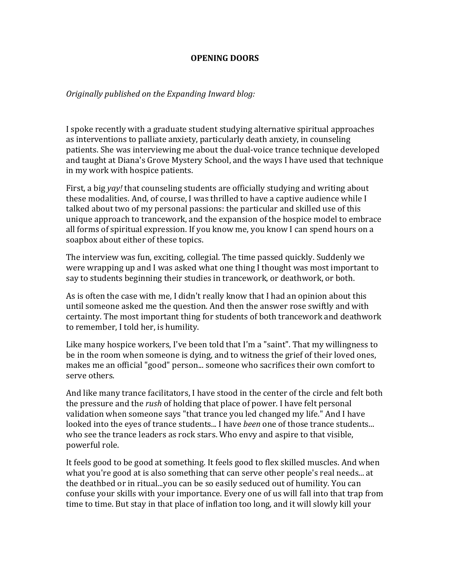## **OPENING DOORS**

## *Originally published on the Expanding Inward blog:*

I spoke recently with a graduate student studying alternative spiritual approaches as interventions to palliate anxiety, particularly death anxiety, in counseling patients. She was interviewing me about the dual-voice trance technique developed and taught at Diana's Grove Mystery School, and the ways I have used that technique in my work with hospice patients.

First, a big *yay!* that counseling students are officially studying and writing about these modalities. And, of course, I was thrilled to have a captive audience while I talked about two of my personal passions: the particular and skilled use of this unique approach to trancework, and the expansion of the hospice model to embrace all forms of spiritual expression. If you know me, you know I can spend hours on a soapbox about either of these topics.

The interview was fun, exciting, collegial. The time passed quickly. Suddenly we were wrapping up and I was asked what one thing I thought was most important to say to students beginning their studies in trancework, or deathwork, or both.

As is often the case with me, I didn't really know that I had an opinion about this until someone asked me the question. And then the answer rose swiftly and with certainty. The most important thing for students of both trancework and deathwork to remember, I told her, is humility.

Like many hospice workers, I've been told that I'm a "saint". That my willingness to be in the room when someone is dying, and to witness the grief of their loved ones, makes me an official "good" person... someone who sacrifices their own comfort to serve others.

And like many trance facilitators, I have stood in the center of the circle and felt both the pressure and the *rush* of holding that place of power. I have felt personal validation when someone says "that trance you led changed my life." And I have looked into the eyes of trance students... I have *been* one of those trance students... who see the trance leaders as rock stars. Who envy and aspire to that visible, powerful role.

It feels good to be good at something. It feels good to flex skilled muscles. And when what you're good at is also something that can serve other people's real needs... at the deathbed or in ritual...you can be so easily seduced out of humility. You can confuse your skills with your importance. Every one of us will fall into that trap from time to time. But stay in that place of inflation too long, and it will slowly kill your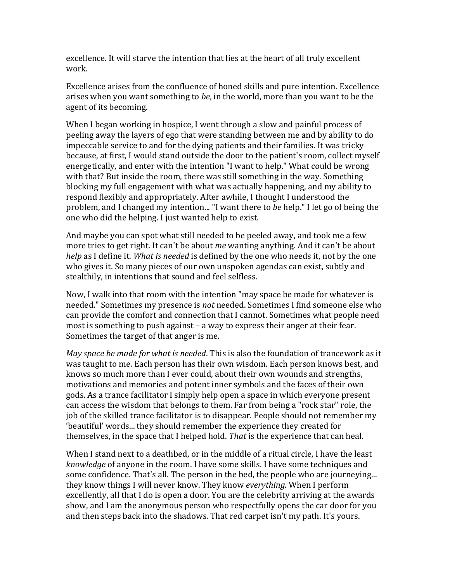excellence. It will starve the intention that lies at the heart of all truly excellent work. 

Excellence arises from the confluence of honed skills and pure intention. Excellence arises when you want something to *be*, in the world, more than you want to be the agent of its becoming.

When I began working in hospice, I went through a slow and painful process of peeling away the layers of ego that were standing between me and by ability to do impeccable service to and for the dying patients and their families. It was tricky because, at first, I would stand outside the door to the patient's room, collect myself energetically, and enter with the intention "I want to help." What could be wrong with that? But inside the room, there was still something in the way. Something blocking my full engagement with what was actually happening, and my ability to respond flexibly and appropriately. After awhile, I thought I understood the problem, and I changed my intention... "I want there to *be* help." I let go of being the one who did the helping. I just wanted help to exist.

And maybe you can spot what still needed to be peeled away, and took me a few more tries to get right. It can't be about *me* wanting anything. And it can't be about *help* as I define it. *What is needed* is defined by the one who needs it, not by the one who gives it. So many pieces of our own unspoken agendas can exist, subtly and stealthily, in intentions that sound and feel selfless.

Now, I walk into that room with the intention "may space be made for whatever is needed." Sometimes my presence is *not* needed. Sometimes I find someone else who can provide the comfort and connection that I cannot. Sometimes what people need most is something to push against  $-$  a way to express their anger at their fear. Sometimes the target of that anger is me.

*May space be made for what is needed*. This is also the foundation of trancework as it was taught to me. Each person has their own wisdom. Each person knows best, and knows so much more than I ever could, about their own wounds and strengths, motivations and memories and potent inner symbols and the faces of their own gods. As a trance facilitator I simply help open a space in which everyone present can access the wisdom that belongs to them. Far from being a "rock star" role, the job of the skilled trance facilitator is to disappear. People should not remember my 'beautiful' words... they should remember the experience they created for themselves, in the space that I helped hold. *That* is the experience that can heal.

When I stand next to a deathbed, or in the middle of a ritual circle. I have the least *knowledge* of anyone in the room. I have some skills. I have some techniques and some confidence. That's all. The person in the bed, the people who are journeying... they know things I will never know. They know *everything*. When I perform excellently, all that I do is open a door. You are the celebrity arriving at the awards show, and I am the anonymous person who respectfully opens the car door for you and then steps back into the shadows. That red carpet isn't my path. It's yours.